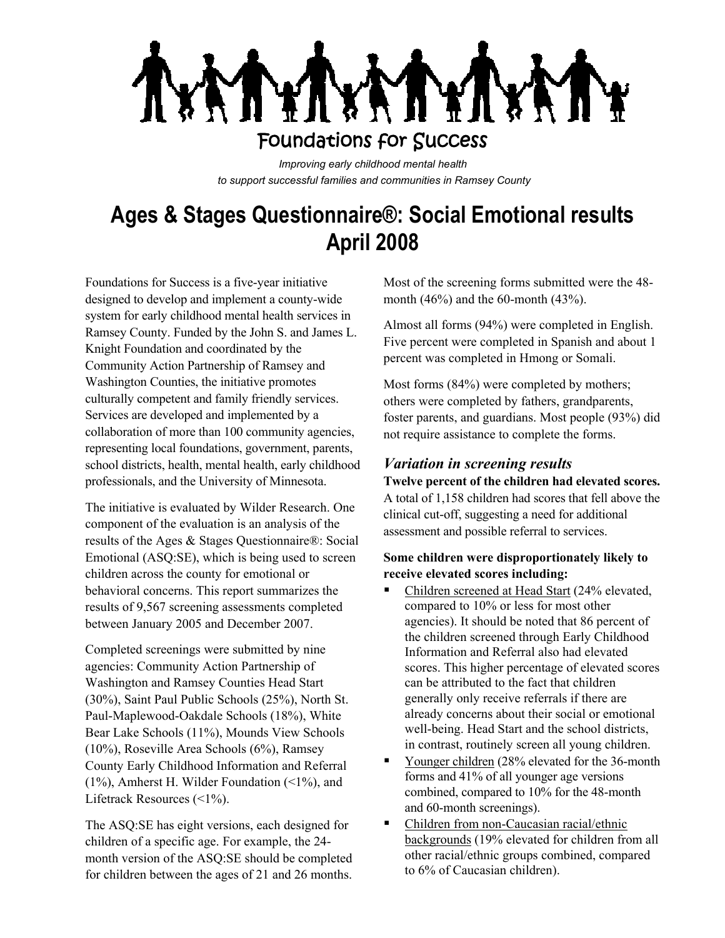

*Improving early childhood mental health to support successful families and communities in Ramsey County*

# **Ages & Stages Questionnaire®: Social Emotional results April 2008**

Foundations for Success is a five-year initiative designed to develop and implement a county-wide system for early childhood mental health services in Ramsey County. Funded by the John S. and James L. Knight Foundation and coordinated by the Community Action Partnership of Ramsey and Washington Counties, the initiative promotes culturally competent and family friendly services. Services are developed and implemented by a collaboration of more than 100 community agencies, representing local foundations, government, parents, school districts, health, mental health, early childhood professionals, and the University of Minnesota.

The initiative is evaluated by Wilder Research. One component of the evaluation is an analysis of the results of the Ages & Stages Questionnaire®: Social Emotional (ASQ:SE), which is being used to screen children across the county for emotional or behavioral concerns. This report summarizes the results of 9,567 screening assessments completed between January 2005 and December 2007.

Completed screenings were submitted by nine agencies: Community Action Partnership of Washington and Ramsey Counties Head Start (30%), Saint Paul Public Schools (25%), North St. Paul-Maplewood-Oakdale Schools (18%), White Bear Lake Schools (11%), Mounds View Schools (10%), Roseville Area Schools (6%), Ramsey County Early Childhood Information and Referral (1%), Amherst H. Wilder Foundation (<1%), and Lifetrack Resources (<1%).

The ASQ:SE has eight versions, each designed for children of a specific age. For example, the 24 month version of the ASQ:SE should be completed for children between the ages of 21 and 26 months.

Most of the screening forms submitted were the 48 month (46%) and the 60-month (43%).

Almost all forms (94%) were completed in English. Five percent were completed in Spanish and about 1 percent was completed in Hmong or Somali.

Most forms (84%) were completed by mothers; others were completed by fathers, grandparents, foster parents, and guardians. Most people (93%) did not require assistance to complete the forms.

## *Variation in screening results*

**Twelve percent of the children had elevated scores.**  A total of 1,158 children had scores that fell above the clinical cut-off, suggesting a need for additional assessment and possible referral to services.

### **Some children were disproportionately likely to receive elevated scores including:**

- Children screened at Head Start (24% elevated, compared to 10% or less for most other agencies). It should be noted that 86 percent of the children screened through Early Childhood Information and Referral also had elevated scores. This higher percentage of elevated scores can be attributed to the fact that children generally only receive referrals if there are already concerns about their social or emotional well-being. Head Start and the school districts, in contrast, routinely screen all young children.
- Younger children (28% elevated for the 36-month forms and 41% of all younger age versions combined, compared to 10% for the 48-month and 60-month screenings).
- Children from non-Caucasian racial/ethnic backgrounds (19% elevated for children from all other racial/ethnic groups combined, compared to 6% of Caucasian children).